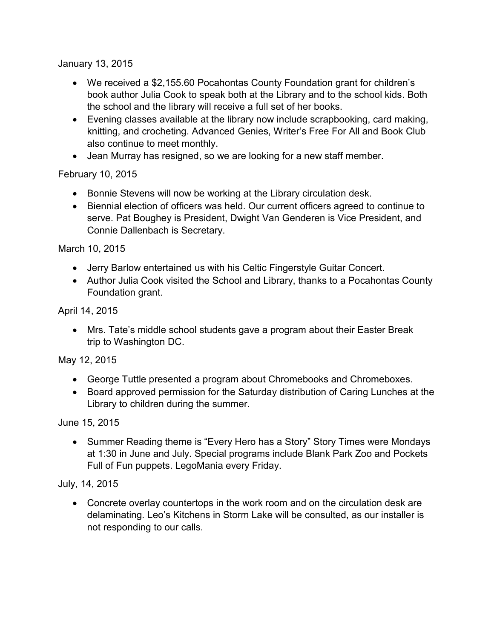January 13, 2015

- We received a \$2,155.60 Pocahontas County Foundation grant for children's book author Julia Cook to speak both at the Library and to the school kids. Both the school and the library will receive a full set of her books.
- Evening classes available at the library now include scrapbooking, card making, knitting, and crocheting. Advanced Genies, Writer's Free For All and Book Club also continue to meet monthly.
- Jean Murray has resigned, so we are looking for a new staff member.

## February 10, 2015

- Bonnie Stevens will now be working at the Library circulation desk.
- Biennial election of officers was held. Our current officers agreed to continue to serve. Pat Boughey is President, Dwight Van Genderen is Vice President, and Connie Dallenbach is Secretary.

March 10, 2015

- Jerry Barlow entertained us with his Celtic Fingerstyle Guitar Concert.
- Author Julia Cook visited the School and Library, thanks to a Pocahontas County Foundation grant.

April 14, 2015

 Mrs. Tate's middle school students gave a program about their Easter Break trip to Washington DC.

May 12, 2015

- George Tuttle presented a program about Chromebooks and Chromeboxes.
- Board approved permission for the Saturday distribution of Caring Lunches at the Library to children during the summer.

June 15, 2015

• Summer Reading theme is "Every Hero has a Story" Story Times were Mondays at 1:30 in June and July. Special programs include Blank Park Zoo and Pockets Full of Fun puppets. LegoMania every Friday.

July, 14, 2015

 Concrete overlay countertops in the work room and on the circulation desk are delaminating. Leo's Kitchens in Storm Lake will be consulted, as our installer is not responding to our calls.